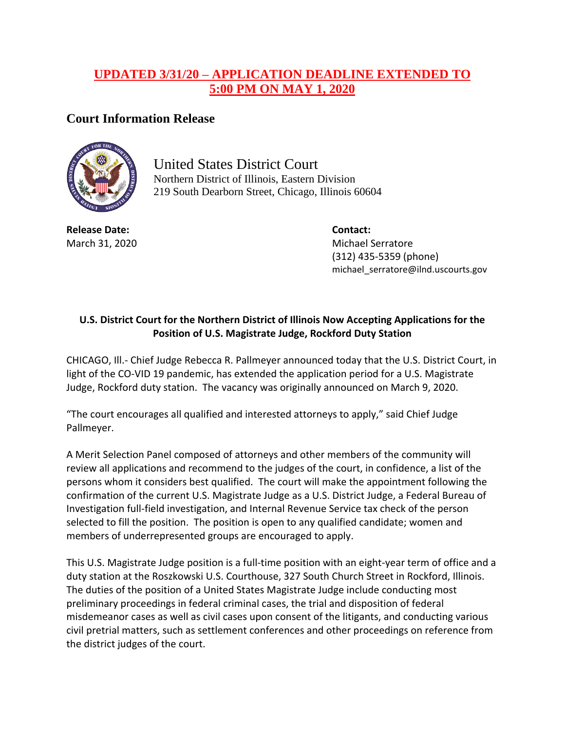## **UPDATED 3/31/20 – APPLICATION DEADLINE EXTENDED TO 5:00 PM ON MAY 1, 2020**

## **Court Information Release**



United States District Court Northern District of Illinois, Eastern Division 219 South Dearborn Street, Chicago, Illinois 60604

**Release Date: Contact:**

March 31, 2020 Michael Serratore (312) 435-5359 (phone) michael\_serratore@ilnd.uscourts.gov

## **U.S. District Court for the Northern District of Illinois Now Accepting Applications for the Position of U.S. Magistrate Judge, Rockford Duty Station**

CHICAGO, Ill.- Chief Judge Rebecca R. Pallmeyer announced today that the U.S. District Court, in light of the CO-VID 19 pandemic, has extended the application period for a U.S. Magistrate Judge, Rockford duty station. The vacancy was originally announced on March 9, 2020.

"The court encourages all qualified and interested attorneys to apply," said Chief Judge Pallmeyer.

A Merit Selection Panel composed of attorneys and other members of the community will review all applications and recommend to the judges of the court, in confidence, a list of the persons whom it considers best qualified. The court will make the appointment following the confirmation of the current U.S. Magistrate Judge as a U.S. District Judge, a Federal Bureau of Investigation full-field investigation, and Internal Revenue Service tax check of the person selected to fill the position. The position is open to any qualified candidate; women and members of underrepresented groups are encouraged to apply.

This U.S. Magistrate Judge position is a full-time position with an eight-year term of office and a duty station at the Roszkowski U.S. Courthouse, 327 South Church Street in Rockford, Illinois. The duties of the position of a United States Magistrate Judge include conducting most preliminary proceedings in federal criminal cases, the trial and disposition of federal misdemeanor cases as well as civil cases upon consent of the litigants, and conducting various civil pretrial matters, such as settlement conferences and other proceedings on reference from the district judges of the court.